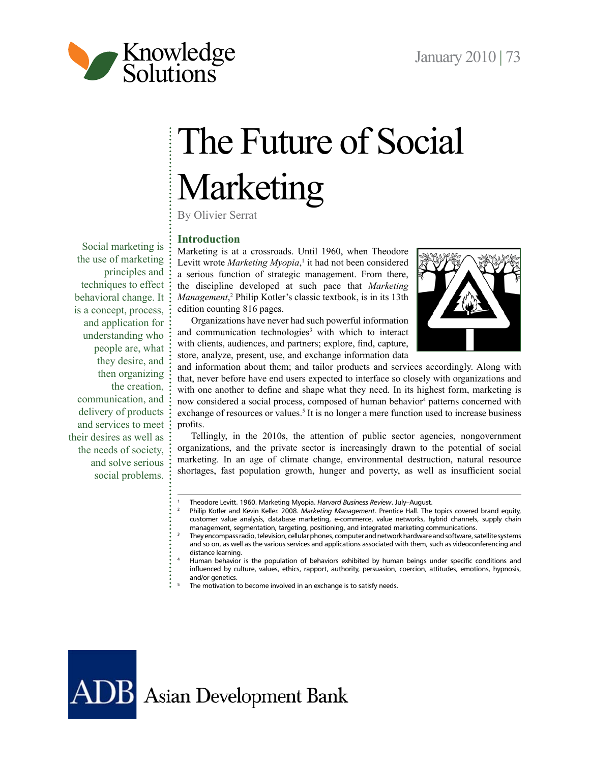

# The Future of Social Marketing

By Olivier Serrat

## **Introduction**

Marketing is at a crossroads. Until 1960, when Theodore Levitt wrote *Marketing Myopia*,<sup>1</sup> it had not been considered a serious function of strategic management. From there, the discipline developed at such pace that *Marketing Management*, 2 Philip Kotler's classic textbook, is in its 13th edition counting 816 pages.

Organizations have never had such powerful information and communication technologies<sup>3</sup> with which to interact with clients, audiences, and partners; explore, find, capture, store, analyze, present, use, and exchange information data



and information about them; and tailor products and services accordingly. Along with that, never before have end users expected to interface so closely with organizations and with one another to define and shape what they need. In its highest form, marketing is now considered a social process, composed of human behavior<sup>4</sup> patterns concerned with exchange of resources or values.<sup>5</sup> It is no longer a mere function used to increase business profits.

Tellingly, in the 2010s, the attention of public sector agencies, nongovernment organizations, and the private sector is increasingly drawn to the potential of social marketing. In an age of climate change, environmental destruction, natural resource shortages, fast population growth, hunger and poverty, as well as insufficient social

 $\overline{2}$  Philip Kotler and Kevin Keller. 2008. *Marketing Management*. Prentice Hall. The topics covered brand equity, customer value analysis, database marketing, e-commerce, value networks, hybrid channels, supply chain management, segmentation, targeting, positioning, and integrated marketing communications.



Social marketing is the use of marketing principles and techniques to effect behavioral change. It is a concept, process, and application for understanding who people are, what they desire, and then organizing the creation, communication, and delivery of products and services to meet their desires as well as the needs of society, and solve serious social problems.

<sup>1</sup> Theodore Levitt. 1960. Marketing Myopia. *Harvard Business Review*. July–August.

<sup>3</sup> They encompass radio, television, cellular phones, computer and network hardware and software, satellite systems and so on, as well as the various services and applications associated with them, such as videoconferencing and distance learning.

<sup>4</sup> Human behavior is the population of behaviors exhibited by human beings under specific conditions and influenced by culture, values, ethics, rapport, authority, persuasion, coercion, attitudes, emotions, hypnosis, and/or genetics.

<sup>5</sup> The motivation to become involved in an exchange is to satisfy needs.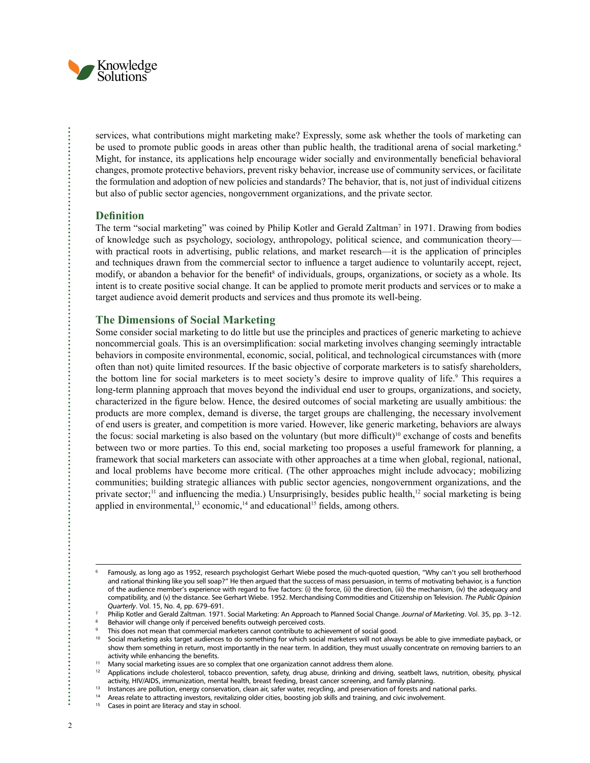

services, what contributions might marketing make? Expressly, some ask whether the tools of marketing can be used to promote public goods in areas other than public health, the traditional arena of social marketing.<sup>6</sup> Might, for instance, its applications help encourage wider socially and environmentally beneficial behavioral changes, promote protective behaviors, prevent risky behavior, increase use of community services, or facilitate the formulation and adoption of new policies and standards? The behavior, that is, not just of individual citizens but also of public sector agencies, nongovernment organizations, and the private sector.

## **Definition**

The term "social marketing" was coined by Philip Kotler and Gerald Zaltman<sup>7</sup> in 1971. Drawing from bodies of knowledge such as psychology, sociology, anthropology, political science, and communication theory with practical roots in advertising, public relations, and market research—it is the application of principles and techniques drawn from the commercial sector to influence a target audience to voluntarily accept, reject, modify, or abandon a behavior for the benefit<sup>8</sup> of individuals, groups, organizations, or society as a whole. Its intent is to create positive social change. It can be applied to promote merit products and services or to make a target audience avoid demerit products and services and thus promote its well-being.

#### **The Dimensions of Social Marketing**

Some consider social marketing to do little but use the principles and practices of generic marketing to achieve noncommercial goals. This is an oversimplification: social marketing involves changing seemingly intractable behaviors in composite environmental, economic, social, political, and technological circumstances with (more often than not) quite limited resources. If the basic objective of corporate marketers is to satisfy shareholders, the bottom line for social marketers is to meet society's desire to improve quality of life.<sup>9</sup> This requires a long-term planning approach that moves beyond the individual end user to groups, organizations, and society, characterized in the figure below. Hence, the desired outcomes of social marketing are usually ambitious: the products are more complex, demand is diverse, the target groups are challenging, the necessary involvement of end users is greater, and competition is more varied. However, like generic marketing, behaviors are always the focus: social marketing is also based on the voluntary (but more difficult)<sup>10</sup> exchange of costs and benefits between two or more parties. To this end, social marketing too proposes a useful framework for planning, a framework that social marketers can associate with other approaches at a time when global, regional, national, and local problems have become more critical. (The other approaches might include advocacy; mobilizing communities; building strategic alliances with public sector agencies, nongovernment organizations, and the private sector;<sup>11</sup> and influencing the media.) Unsurprisingly, besides public health,<sup>12</sup> social marketing is being applied in environmental, $13$  economic, $14$  and educational<sup>15</sup> fields, among others.

<sup>6</sup> Famously, as long ago as 1952, research psychologist Gerhart Wiebe posed the much-quoted question, "Why can't you sell brotherhood and rational thinking like you sell soap?" He then argued that the success of mass persuasion, in terms of motivating behavior, is a function of the audience member's experience with regard to five factors: (i) the force, (ii) the direction, (iii) the mechanism, (iv) the adequacy and compatibility, and (v) the distance. See Gerhart Wiebe. 1952. Merchandising Commodities and Citizenship on Television. *The Public Opinion Quarterly*. Vol. 15, No. 4, pp. 679–691.

<sup>7</sup> Philip Kotler and Gerald Zaltman. 1971. Social Marketing: An Approach to Planned Social Change. *Journal of Marketing*. Vol. 35, pp. 3–12. 8 Behavior will change only if perceived benefits outweigh perceived costs.

<sup>9</sup> <sup>9</sup> This does not mean that commercial marketers cannot contribute to achievement of social good.<br><sup>10</sup> Social marketing asks target audiences to do something for which social marketers will not alway

Social marketing asks target audiences to do something for which social marketers will not always be able to give immediate payback, or show them something in return, most importantly in the near term. In addition, they must usually concentrate on removing barriers to an activity while enhancing the benefits.

<sup>11</sup> Many social marketing issues are so complex that one organization cannot address them alone.

<sup>12</sup> Applications include cholesterol, tobacco prevention, safety, drug abuse, drinking and driving, seatbelt laws, nutrition, obesity, physical activity, HIV/AIDS, immunization, mental health, breast feeding, breast cancer screening, and family planning.

<sup>13</sup> Instances are pollution, energy conservation, clean air, safer water, recycling, and preservation of forests and national parks.

Areas relate to attracting investors, revitalizing older cities, boosting job skills and training, and civic involvement.

<sup>&</sup>lt;sup>15</sup> Cases in point are literacy and stay in school.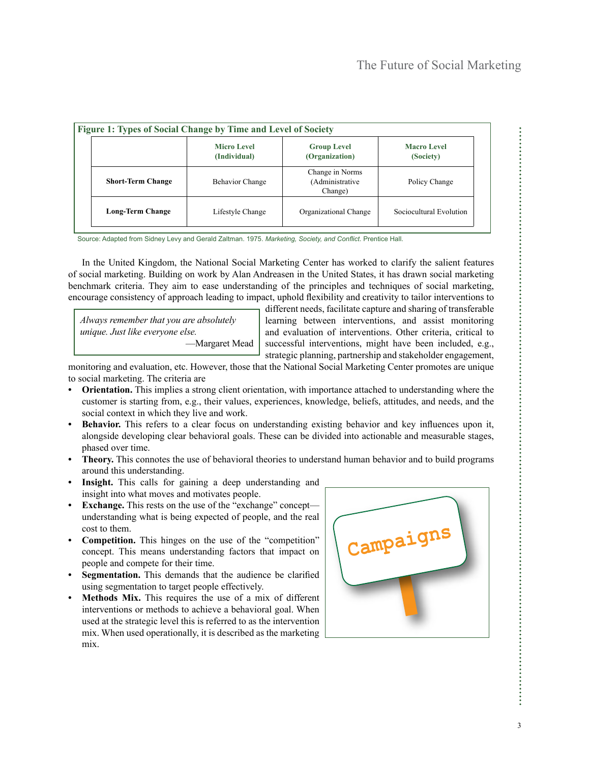| Figure 1: Types of Social Change by Time and Level of Society |                                    |                                               |                                 |
|---------------------------------------------------------------|------------------------------------|-----------------------------------------------|---------------------------------|
|                                                               | <b>Micro Level</b><br>(Individual) | <b>Group Level</b><br>(Organization)          | <b>Macro Level</b><br>(Society) |
| <b>Short-Term Change</b>                                      | <b>Behavior Change</b>             | Change in Norms<br>(Administrative<br>Change) | Policy Change                   |
| Long-Term Change                                              | Lifestyle Change                   | Organizational Change                         | Sociocultural Evolution         |

Source: Adapted from Sidney Levy and Gerald Zaltman. 1975. *Marketing, Society, and Conflict*. Prentice Hall.

In the United Kingdom, the National Social Marketing Center has worked to clarify the salient features of social marketing. Building on work by Alan Andreasen in the United States, it has drawn social marketing benchmark criteria. They aim to ease understanding of the principles and techniques of social marketing, encourage consistency of approach leading to impact, uphold flexibility and creativity to tailor interventions to

*Always remember that you are absolutely unique. Just like everyone else.* —Margaret Mead

different needs, facilitate capture and sharing of transferable learning between interventions, and assist monitoring and evaluation of interventions. Other criteria, critical to successful interventions, might have been included, e.g., strategic planning, partnership and stakeholder engagement,

monitoring and evaluation, etc. However, those that the National Social Marketing Center promotes are unique to social marketing. The criteria are

- **Orientation.** This implies a strong client orientation, with importance attached to understanding where the customer is starting from, e.g., their values, experiences, knowledge, beliefs, attitudes, and needs, and the social context in which they live and work.
- **Behavior.** This refers to a clear focus on understanding existing behavior and key influences upon it, alongside developing clear behavioral goals. These can be divided into actionable and measurable stages, phased over time.
- **Theory.** This connotes the use of behavioral theories to understand human behavior and to build programs around this understanding.
- **Insight.** This calls for gaining a deep understanding and insight into what moves and motivates people.
- **Exchange.** This rests on the use of the "exchange" concept understanding what is being expected of people, and the real cost to them.
- **Competition.** This hinges on the use of the "competition" concept. This means understanding factors that impact on people and compete for their time.
- **Segmentation.** This demands that the audience be clarified using segmentation to target people effectively.
- **Methods Mix.** This requires the use of a mix of different interventions or methods to achieve a behavioral goal. When used at the strategic level this is referred to as the intervention mix. When used operationally, it is described as the marketing mix.

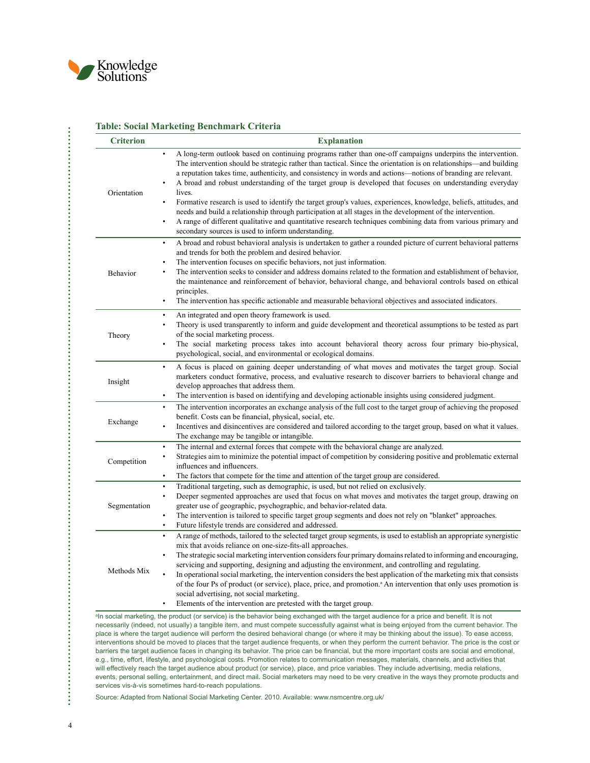

 $\ddot{\cdot}$ 

つのののかわからない しゅうしゅうしゅう のうろう のうりつ しゅうしゅう しゅうしゅう のうりつ うりつ うりつ うしゅう しゅうしゅう うりつ うりつ うりつ うりつ うりつ うりつ うりつ うりつ うりつし

| <b>Criterion</b> | <b>Explanation</b>                                                                                                                                                                                                                                                                                                                                                                                                                                                                                                                                                                                                                                                                                                                                                                                                                      |
|------------------|-----------------------------------------------------------------------------------------------------------------------------------------------------------------------------------------------------------------------------------------------------------------------------------------------------------------------------------------------------------------------------------------------------------------------------------------------------------------------------------------------------------------------------------------------------------------------------------------------------------------------------------------------------------------------------------------------------------------------------------------------------------------------------------------------------------------------------------------|
| Orientation      | A long-term outlook based on continuing programs rather than one-off campaigns underpins the intervention.<br>$\bullet$<br>The intervention should be strategic rather than tactical. Since the orientation is on relationships—and building<br>a reputation takes time, authenticity, and consistency in words and actions—notions of branding are relevant.<br>A broad and robust understanding of the target group is developed that focuses on understanding everyday<br>lives.<br>Formative research is used to identify the target group's values, experiences, knowledge, beliefs, attitudes, and<br>needs and build a relationship through participation at all stages in the development of the intervention.<br>A range of different qualitative and quantitative research techniques combining data from various primary and |
|                  | secondary sources is used to inform understanding.                                                                                                                                                                                                                                                                                                                                                                                                                                                                                                                                                                                                                                                                                                                                                                                      |
| Behavior         | A broad and robust behavioral analysis is undertaken to gather a rounded picture of current behavioral patterns<br>$\bullet$<br>and trends for both the problem and desired behavior.<br>The intervention focuses on specific behaviors, not just information.<br>The intervention seeks to consider and address domains related to the formation and establishment of behavior,<br>the maintenance and reinforcement of behavior, behavioral change, and behavioral controls based on ethical<br>principles.                                                                                                                                                                                                                                                                                                                           |
|                  | The intervention has specific actionable and measurable behavioral objectives and associated indicators.<br>$\bullet$                                                                                                                                                                                                                                                                                                                                                                                                                                                                                                                                                                                                                                                                                                                   |
| Theory           | An integrated and open theory framework is used.<br>$\bullet$<br>Theory is used transparently to inform and guide development and theoretical assumptions to be tested as part<br>$\bullet$<br>of the social marketing process.<br>The social marketing process takes into account behavioral theory across four primary bio-physical,<br>$\bullet$<br>psychological, social, and environmental or ecological domains.                                                                                                                                                                                                                                                                                                                                                                                                                  |
| Insight          | A focus is placed on gaining deeper understanding of what moves and motivates the target group. Social<br>$\bullet$<br>marketers conduct formative, process, and evaluative research to discover barriers to behavioral change and<br>develop approaches that address them.<br>The intervention is based on identifying and developing actionable insights using considered judgment.<br>$\bullet$                                                                                                                                                                                                                                                                                                                                                                                                                                      |
| Exchange         | The intervention incorporates an exchange analysis of the full cost to the target group of achieving the proposed<br>$\bullet$<br>benefit. Costs can be financial, physical, social, etc.<br>Incentives and disincentives are considered and tailored according to the target group, based on what it values.<br>$\bullet$<br>The exchange may be tangible or intangible.                                                                                                                                                                                                                                                                                                                                                                                                                                                               |
| Competition      | The internal and external forces that compete with the behavioral change are analyzed.<br>$\bullet$<br>Strategies aim to minimize the potential impact of competition by considering positive and problematic external<br>influences and influencers.<br>$\bullet$<br>The factors that compete for the time and attention of the target group are considered.                                                                                                                                                                                                                                                                                                                                                                                                                                                                           |
| Segmentation     | Traditional targeting, such as demographic, is used, but not relied on exclusively.<br>$\bullet$<br>Deeper segmented approaches are used that focus on what moves and motivates the target group, drawing on<br>٠<br>greater use of geographic, psychographic, and behavior-related data.<br>The intervention is tailored to specific target group segments and does not rely on "blanket" approaches.<br>$\bullet$<br>Future lifestyle trends are considered and addressed.<br>$\bullet$                                                                                                                                                                                                                                                                                                                                               |
| Methods Mix      | A range of methods, tailored to the selected target group segments, is used to establish an appropriate synergistic<br>mix that avoids reliance on one-size-fits-all approaches.<br>The strategic social marketing intervention considers four primary domains related to informing and encouraging,<br>$\bullet$<br>servicing and supporting, designing and adjusting the environment, and controlling and regulating.<br>In operational social marketing, the intervention considers the best application of the marketing mix that consists<br>of the four Ps of product (or service), place, price, and promotion. <sup>ª</sup> An intervention that only uses promotion is<br>social advertising, not social marketing.<br>Elements of the intervention are pretested with the target group.                                       |

#### **Table: Social Marketing Benchmark Criteria**

necessarily (indeed, not usually) a tangible item, and must compete successfully against what is being enjoyed from the current behavior. The place is where the target audience will perform the desired behavioral change (or where it may be thinking about the issue). To ease access, interventions should be moved to places that the target audience frequents, or when they perform the current behavior. The price is the cost or barriers the target audience faces in changing its behavior. The price can be financial, but the more important costs are social and emotional, e.g., time, effort, lifestyle, and psychological costs. Promotion relates to communication messages, materials, channels, and activities that will effectively reach the target audience about product (or service), place, and price variables. They include advertising, media relations, events, personal selling, entertainment, and direct mail. Social marketers may need to be very creative in the ways they promote products and services vis-à-vis sometimes hard-to-reach populations.

Source: Adapted from [National Social Marketing Center.](http://www.nsmcentre.org.uk/) 2010. Available: [www.nsmcentre.org.uk/](http://www.nsmcentre.org.uk/)

J.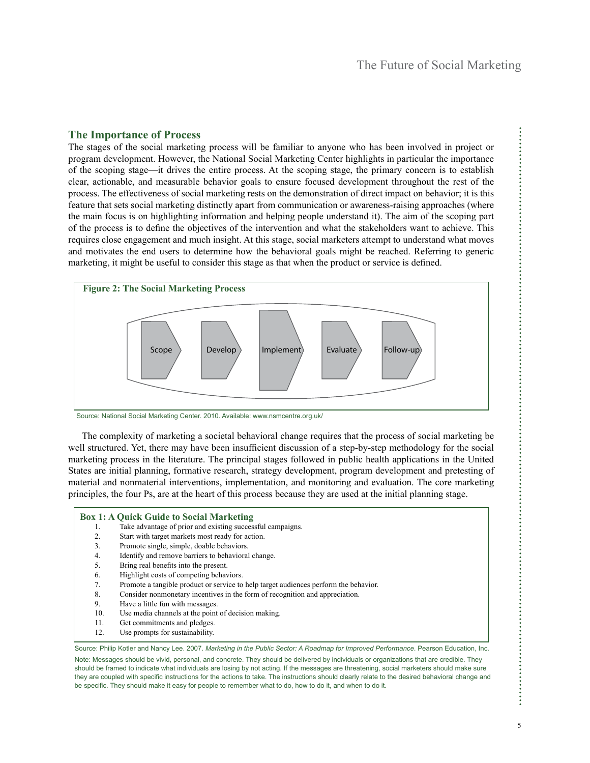..................

## **The Importance of Process**

The stages of the social marketing process will be familiar to anyone who has been involved in project or program development. However, the National Social Marketing Center highlights in particular the importance of the scoping stage—it drives the entire process. At the scoping stage, the primary concern is to establish clear, actionable, and measurable behavior goals to ensure focused development throughout the rest of the process. The effectiveness of social marketing rests on the demonstration of direct impact on behavior; it is this feature that sets social marketing distinctly apart from communication or awareness-raising approaches (where the main focus is on highlighting information and helping people understand it). The aim of the scoping part of the process is to define the objectives of the intervention and what the stakeholders want to achieve. This requires close engagement and much insight. At this stage, social marketers attempt to understand what moves and motivates the end users to determine how the behavioral goals might be reached. Referring to generic marketing, it might be useful to consider this stage as that when the product or service is defined.



Source: [National Social Marketing Center](http://www.nsmcentre.org.uk/). 2010. Available: [www.nsmcentre.org.uk/](http://www.nsmcentre.org.uk/)

The complexity of marketing a societal behavioral change requires that the process of social marketing be well structured. Yet, there may have been insufficient discussion of a step-by-step methodology for the social marketing process in the literature. The principal stages followed in public health applications in the United States are initial planning, formative research, strategy development, program development and pretesting of material and nonmaterial interventions, implementation, and monitoring and evaluation. The core marketing principles, the four Ps, are at the heart of this process because they are used at the initial planning stage.

#### **Box 1: A Quick Guide to Social Marketing**

- 1. Take advantage of prior and existing successful campaigns.
- 2. Start with target markets most ready for action.
- 3. Promote single, simple, doable behaviors.
- 4. Identify and remove barriers to behavioral change.
- 5. Bring real benefits into the present.
- 6. Highlight costs of competing behaviors.
- 7. Promote a tangible product or service to help target audiences perform the behavior.
- 8. Consider nonmonetary incentives in the form of recognition and appreciation.
- 9. Have a little fun with messages.
- 10. Use media channels at the point of decision making.
- 11. Get commitments and pledges.
- 12. Use prompts for sustainability.

Source: Philip Kotler and Nancy Lee. 2007. *Marketing in the Public Sector: A Roadmap for Improved Performance*. Pearson Education, Inc.

Note: Messages should be vivid, personal, and concrete. They should be delivered by individuals or organizations that are credible. They should be framed to indicate what individuals are losing by not acting. If the messages are threatening, social marketers should make sure they are coupled with specific instructions for the actions to take. The instructions should clearly relate to the desired behavioral change and be specific. They should make it easy for people to remember what to do, how to do it, and when to do it.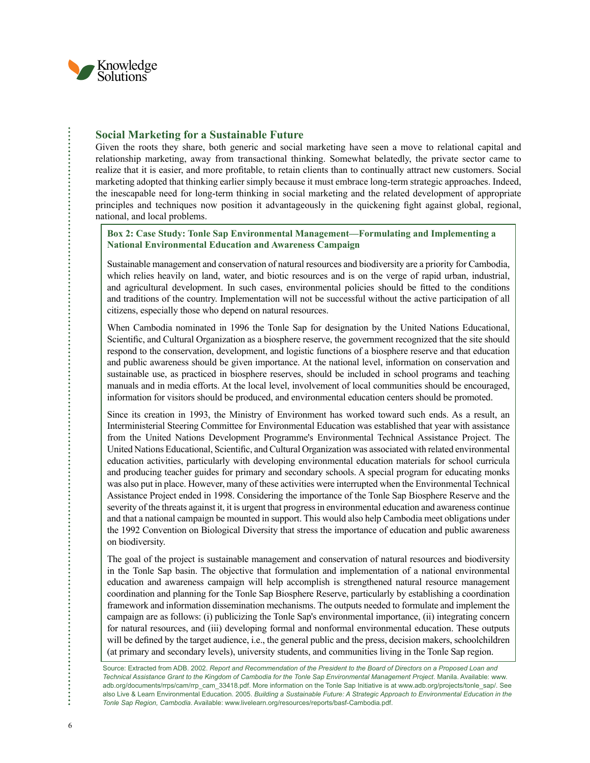

## **Social Marketing for a Sustainable Future**

Given the roots they share, both generic and social marketing have seen a move to relational capital and relationship marketing, away from transactional thinking. Somewhat belatedly, the private sector came to realize that it is easier, and more profitable, to retain clients than to continually attract new customers. Social marketing adopted that thinking earlier simply because it must embrace long-term strategic approaches. Indeed, the inescapable need for long-term thinking in social marketing and the related development of appropriate principles and techniques now position it advantageously in the quickening fight against global, regional, national, and local problems.

**Box 2: Case Study: Tonle Sap Environmental Management—Formulating and Implementing a National Environmental Education and Awareness Campaign**

Sustainable management and conservation of natural resources and biodiversity are a priority for Cambodia, which relies heavily on land, water, and biotic resources and is on the verge of rapid urban, industrial, and agricultural development. In such cases, environmental policies should be fitted to the conditions and traditions of the country. Implementation will not be successful without the active participation of all citizens, especially those who depend on natural resources.

When Cambodia nominated in 1996 the Tonle Sap for designation by the United Nations Educational, Scientific, and Cultural Organization as a biosphere reserve, the government recognized that the site should respond to the conservation, development, and logistic functions of a biosphere reserve and that education and public awareness should be given importance. At the national level, information on conservation and sustainable use, as practiced in biosphere reserves, should be included in school programs and teaching manuals and in media efforts. At the local level, involvement of local communities should be encouraged, information for visitors should be produced, and environmental education centers should be promoted.

Since its creation in 1993, the Ministry of Environment has worked toward such ends. As a result, an Interministerial Steering Committee for Environmental Education was established that year with assistance from the United Nations Development Programme's Environmental Technical Assistance Project. The United Nations Educational, Scientific, and Cultural Organization was associated with related environmental education activities, particularly with developing environmental education materials for school curricula and producing teacher guides for primary and secondary schools. A special program for educating monks was also put in place. However, many of these activities were interrupted when the Environmental Technical Assistance Project ended in 1998. Considering the importance of the Tonle Sap Biosphere Reserve and the severity of the threats against it, it is urgent that progress in environmental education and awareness continue and that a national campaign be mounted in support. This would also help Cambodia meet obligations under the 1992 Convention on Biological Diversity that stress the importance of education and public awareness on biodiversity.

The goal of the project is sustainable management and conservation of natural resources and biodiversity in the Tonle Sap basin. The objective that formulation and implementation of a national environmental education and awareness campaign will help accomplish is strengthened natural resource management coordination and planning for the Tonle Sap Biosphere Reserve, particularly by establishing a coordination framework and information dissemination mechanisms. The outputs needed to formulate and implement the campaign are as follows: (i) publicizing the Tonle Sap's environmental importance, (ii) integrating concern for natural resources, and (iii) developing formal and nonformal environmental education. These outputs will be defined by the target audience, i.e., the general public and the press, decision makers, schoolchildren (at primary and secondary levels), university students, and communities living in the Tonle Sap region.

÷

Source: Extracted from ADB. 2002. *Report and Recommendation of the President to the Board of Directors on a Proposed Loan and Technical Assistance Grant to the Kingdom of Cambodia for the Tonle Sap Environmental Management Project*. Manila. Available: [www.](http://www.adb.org/documents/rrps/cam/rrp_cam_33418.pdf) [adb.org/documents/rrps/cam/rrp\\_cam\\_33418.pdf](http://www.adb.org/documents/rrps/cam/rrp_cam_33418.pdf). More information on the Tonle Sap Initiative is at [www.adb.org/projects/tonle\\_sap/.](http://www.adb.org/projects/tonle_sap/) See also Live & Learn Environmental Education. 2005. *Building a Sustainable Future: A Strategic Approach to Environmental Education in the Tonle Sap Region, Cambodia*. Available: [www.livelearn.org/resources/reports/basf-Cambodia.pdf.](http://www.livelearn.org/resources/reports/basf-Cambodia.pdf)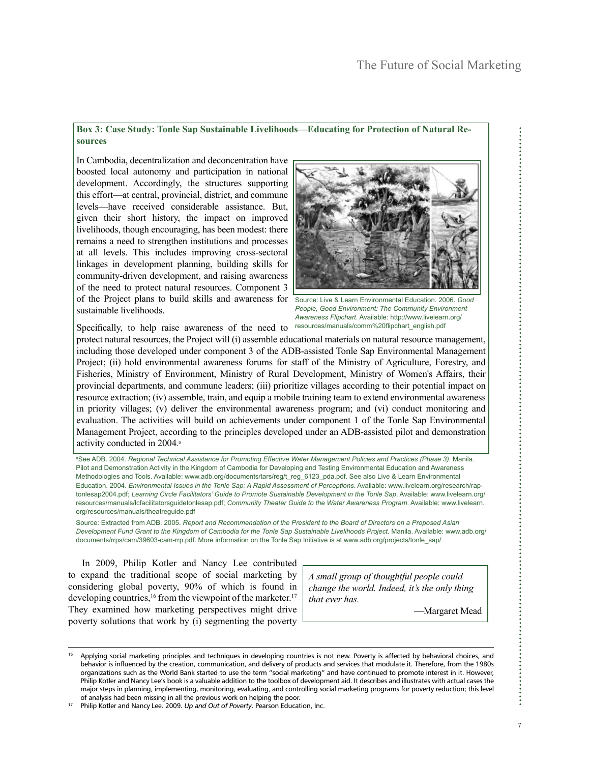## **Box 3: Case Study: Tonle Sap Sustainable Livelihoods—Educating for Protection of Natural Resources**

In Cambodia, decentralization and deconcentration have boosted local autonomy and participation in national development. Accordingly, the structures supporting this effort—at central, provincial, district, and commune levels—have received considerable assistance. But, given their short history, the impact on improved livelihoods, though encouraging, has been modest: there remains a need to strengthen institutions and processes at all levels. This includes improving cross-sectoral linkages in development planning, building skills for community-driven development, and raising awareness of the need to protect natural resources. Component 3 of the Project plans to build skills and awareness for Source: Live & Learn Environmental Education. 2006. *Good*  sustainable livelihoods.



*People, Good Environment: The Community Environment Awareness Flipchart*. Available: [http://www.livelearn.org/](http://www.livelearn.org/resources/manuals/comm%20flipchart_english.pdf) [resources/manuals/comm%20flipchart\\_english.pdf](http://www.livelearn.org/resources/manuals/comm%20flipchart_english.pdf)

Specifically, to help raise awareness of the need to

protect natural resources, the Project will (i) assemble educational materials on natural resource management, including those developed under component 3 of the ADB-assisted Tonle Sap Environmental Management Project; (ii) hold environmental awareness forums for staff of the Ministry of Agriculture, Forestry, and Fisheries, Ministry of Environment, Ministry of Rural Development, Ministry of Women's Affairs, their provincial departments, and commune leaders; (iii) prioritize villages according to their potential impact on resource extraction; (iv) assemble, train, and equip a mobile training team to extend environmental awareness in priority villages; (v) deliver the environmental awareness program; and (vi) conduct monitoring and evaluation. The activities will build on achievements under component 1 of the Tonle Sap Environmental Management Project, according to the principles developed under an ADB-assisted pilot and demonstration activity conducted in 2004. a

a See ADB. 2004. *Regional Technical Assistance for Promoting Effective Water Management Policies and Practices (Phase 3)*. Manila. Pilot and Demonstration Activity in the Kingdom of Cambodia for Developing and Testing Environmental Education and Awareness Methodologies and Tools. Available: [www.adb.org/documents/tars/reg/t\\_reg\\_6123\\_pda.pdf.](http://www.adb.org/documents/tars/reg/t_reg_6123_pda.pdf) See also Live & Learn Environmental Education. 2004. *Environmental Issues in the Tonle Sap: A Rapid Assessment of Perceptions*. Available: [www.livelearn.org/research/rap](http://www.livelearn.org/research/rap-tonlesap2004.pdf)[tonlesap2004.pdf;](http://www.livelearn.org/research/rap-tonlesap2004.pdf) *Learning Circle Facilitators' Guide to Promote Sustainable Development in the Tonle Sap*. Available: [www.livelearn.org/](http://www.livelearn.org/resources/manuals/lcfacilitatorsguidetonlesap.pdf) [resources/manuals/lcfacilitatorsguidetonlesap.pdf;](http://www.livelearn.org/resources/manuals/lcfacilitatorsguidetonlesap.pdf) *Community Theater Guide to the Water Awareness Program*. Available: [www.livelearn.](http://www.livelearn.org/resources/manuals/theatreguide.pdf) [org/resources/manuals/theatreguide.pdf](http://www.livelearn.org/resources/manuals/theatreguide.pdf)

Source: Extracted from ADB. 2005. *Report and Recommendation of the President to the Board of Directors on a Proposed Asian Development Fund Grant to the Kingdom of Cambodia for the Tonle Sap Sustainable Livelihoods Project*. Manila. Available: [www.adb.org/](http://www.adb.org/documents/rrps/cam/39603-cam-rrp.pdf) [documents/rrps/cam/39603-cam-rrp.pdf.](http://www.adb.org/documents/rrps/cam/39603-cam-rrp.pdf) More information on the Tonle Sap Initiative is at [www.adb.org/projects/tonle\\_sap/](http://www.adb.org/projects/tonle_sap/)

In 2009, Philip Kotler and Nancy Lee contributed to expand the traditional scope of social marketing by considering global poverty, 90% of which is found in developing countries,<sup>16</sup> from the viewpoint of the marketer.<sup>17</sup> They examined how marketing perspectives might drive poverty solutions that work by (i) segmenting the poverty

*A small group of thoughtful people could change the world. Indeed, it's the only thing that ever has.*

—Margaret Mead

Applying social marketing principles and techniques in developing countries is not new. Poverty is affected by behavioral choices, and behavior is influenced by the creation, communication, and delivery of products and services that modulate it. Therefore, from the 1980s organizations such as the World Bank started to use the term "social marketing" and have continued to promote interest in it. However, Philip Kotler and Nancy Lee's book is a valuable addition to the toolbox of development aid. It describes and illustrates with actual cases the major steps in planning, implementing, monitoring, evaluating, and controlling social marketing programs for poverty reduction; this level of analysis had been missing in all the previous work on helping the poor.

<sup>17</sup> Philip Kotler and Nancy Lee. 2009. *Up and Out of Poverty*. Pearson Education, Inc.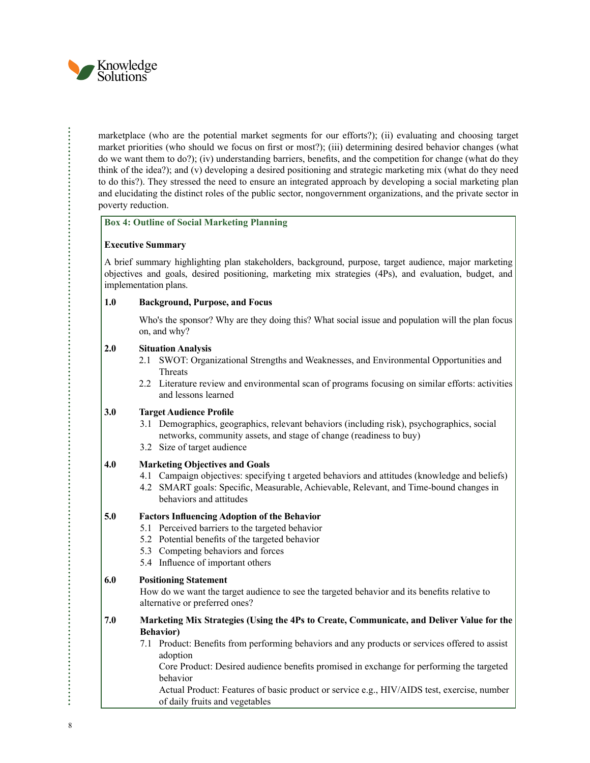

marketplace (who are the potential market segments for our efforts?); (ii) evaluating and choosing target market priorities (who should we focus on first or most?); (iii) determining desired behavior changes (what do we want them to do?); (iv) understanding barriers, benefits, and the competition for change (what do they think of the idea?); and (v) developing a desired positioning and strategic marketing mix (what do they need to do this?). They stressed the need to ensure an integrated approach by developing a social marketing plan and elucidating the distinct roles of the public sector, nongovernment organizations, and the private sector in poverty reduction.

## **Box 4: Outline of Social Marketing Planning**

#### **Executive Summary**

A brief summary highlighting plan stakeholders, background, purpose, target audience, major marketing objectives and goals, desired positioning, marketing mix strategies (4Ps), and evaluation, budget, and implementation plans.

#### **1.0 Background, Purpose, and Focus**

Who's the sponsor? Why are they doing this? What social issue and population will the plan focus on, and why?

#### **2.0 Situation Analysis**

- 2.1 SWOT: Organizational Strengths and Weaknesses, and Environmental Opportunities and Threats
- 2.2 Literature review and environmental scan of programs focusing on similar efforts: activities and lessons learned

#### **3.0 Target Audience Profile**

- 3.1 Demographics, geographics, relevant behaviors (including risk), psychographics, social networks, community assets, and stage of change (readiness to buy)
- 3.2 Size of target audience

#### **4.0 Marketing Objectives and Goals**

- 4.1 Campaign objectives: specifying t argeted behaviors and attitudes (knowledge and beliefs)
- 4.2 SMART goals: Specific, Measurable, Achievable, Relevant, and Time-bound changes in behaviors and attitudes

#### **5.0 Factors Influencing Adoption of the Behavior**

- 5.1 Perceived barriers to the targeted behavior
- 5.2 Potential benefits of the targeted behavior
- 5.3 Competing behaviors and forces
- 5.4 Influence of important others

#### **6.0 Positioning Statement**

How do we want the target audience to see the targeted behavior and its benefits relative to alternative or preferred ones?

- **7.0 Marketing Mix Strategies (Using the 4Ps to Create, Communicate, and Deliver Value for the Behavior)** 
	- 7.1 Product: Benefits from performing behaviors and any products or services offered to assist adoption

Core Product: Desired audience benefits promised in exchange for performing the targeted behavior

Actual Product: Features of basic product or service e.g., HIV/AIDS test, exercise, number of daily fruits and vegetables

÷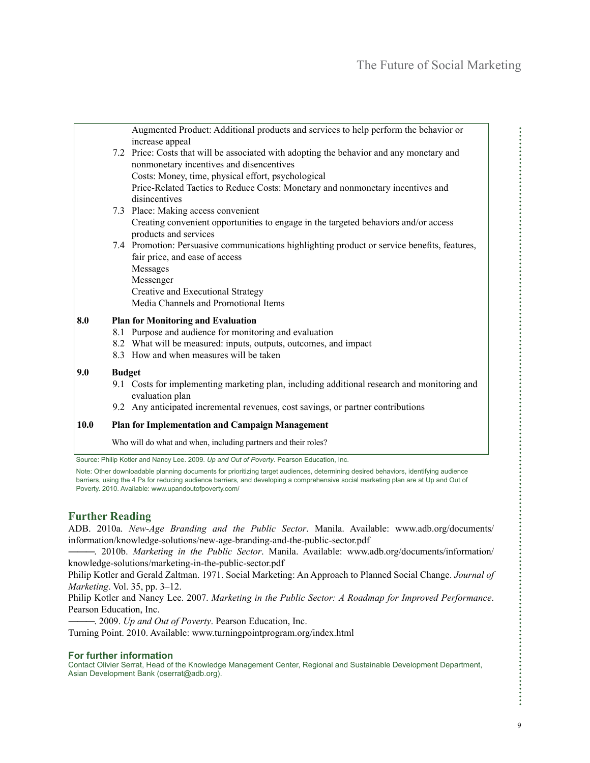......

|             |                                                        | Augmented Product: Additional products and services to help perform the behavior or<br>increase appeal                               |  |  |
|-------------|--------------------------------------------------------|--------------------------------------------------------------------------------------------------------------------------------------|--|--|
|             |                                                        | 7.2 Price: Costs that will be associated with adopting the behavior and any monetary and<br>nonmonetary incentives and disencentives |  |  |
|             |                                                        | Costs: Money, time, physical effort, psychological                                                                                   |  |  |
|             |                                                        | Price-Related Tactics to Reduce Costs: Monetary and nonmonetary incentives and                                                       |  |  |
|             |                                                        | disincentives                                                                                                                        |  |  |
|             |                                                        | 7.3 Place: Making access convenient                                                                                                  |  |  |
|             |                                                        | Creating convenient opportunities to engage in the targeted behaviors and/or access<br>products and services                         |  |  |
|             |                                                        | 7.4 Promotion: Persuasive communications highlighting product or service benefits, features,<br>fair price, and ease of access       |  |  |
|             |                                                        | Messages                                                                                                                             |  |  |
|             |                                                        | Messenger                                                                                                                            |  |  |
|             |                                                        | Creative and Executional Strategy                                                                                                    |  |  |
|             |                                                        | Media Channels and Promotional Items                                                                                                 |  |  |
| 8.0         | <b>Plan for Monitoring and Evaluation</b>              |                                                                                                                                      |  |  |
|             |                                                        | 8.1 Purpose and audience for monitoring and evaluation                                                                               |  |  |
|             |                                                        | 8.2 What will be measured: inputs, outputs, outcomes, and impact                                                                     |  |  |
|             |                                                        | 8.3 How and when measures will be taken                                                                                              |  |  |
| 9.0         | <b>Budget</b>                                          |                                                                                                                                      |  |  |
|             |                                                        | 9.1 Costs for implementing marketing plan, including additional research and monitoring and<br>evaluation plan                       |  |  |
|             |                                                        | 9.2 Any anticipated incremental revenues, cost savings, or partner contributions                                                     |  |  |
| <b>10.0</b> | <b>Plan for Implementation and Campaign Management</b> |                                                                                                                                      |  |  |
|             |                                                        | Who will do what and when, including partners and their roles?                                                                       |  |  |

Source: Philip Kotler and Nancy Lee. 2009. *Up and Out of Poverty*. Pearson Education, Inc.

Note: Other downloadable planning documents for prioritizing target audiences, determining desired behaviors, identifying audience barriers, using the 4 Ps for reducing audience barriers, and developing a comprehensive social marketing plan are at [Up and Out of](http://www.upandoutofpoverty.com/)  [Poverty](http://www.upandoutofpoverty.com/). 2010. Available: [www.upandoutofpoverty.com/](http://www.upandoutofpoverty.com/)

## **Further Reading**

ADB. 2010a. *[New-Age Branding and the Public Sector](http://www.adb.org/documents/information/knowledge-solutions/new-age-branding-and-the-public-sector.pdf)*. Manila. Available: [www.adb.org/documents/](http://www.adb.org/documents/information/knowledge-solutions/new-age-branding-and-the-public-sector.pdf) [information/knowledge-solutions/new-age-branding-and-the-public-sector.pdf](http://www.adb.org/documents/information/knowledge-solutions/new-age-branding-and-the-public-sector.pdf)

―――. 2010b. *[Marketing in the Public Sector](http://www.adb.org/documents/information/knowledge-solutions/marketing-in-the-public-sector.pdf)*. Manila. Available: [www.adb.org/documents/information/](http://www.adb.org/documents/information/knowledge-solutions/marketing-in-the-public-sector.pdf) [knowledge-solutions/marketing-in-the-public-sector.pdf](http://www.adb.org/documents/information/knowledge-solutions/marketing-in-the-public-sector.pdf)

Philip Kotler and Gerald Zaltman. 1971. Social Marketing: An Approach to Planned Social Change. *Journal of Marketing*. Vol. 35, pp. 3–12.

Philip Kotler and Nancy Lee. 2007. *Marketing in the Public Sector: A Roadmap for Improved Performance*. Pearson Education, Inc.

―――. 2009. *Up and Out of Poverty*. Pearson Education, Inc.

[Turning Point](http://www.turningpointprogram.org/index.html). 2010. Available: [www.turningpointprogram.org/index.html](http://www.turningpointprogram.org/index.html)

#### **For further information**

Contact Olivier Serrat, Head of the Knowledge Management Center, Regional and Sustainable Development Department, Asian Development Bank (oserrat@adb.org).